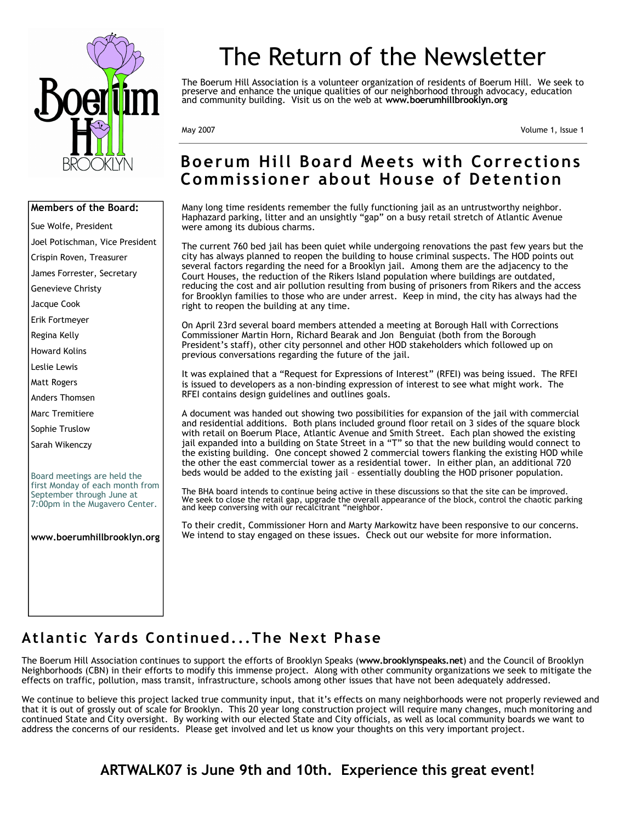

# **Members of the Board:**  Sue Wolfe, President Joel Potischman, Vice President Crispin Roven, Treasurer James Forrester, Secretary Genevieve Christy Jacque Cook Erik Fortmeyer Regina Kelly Howard Kolins Leslie Lewis Matt Rogers Anders Thomsen Marc Tremitiere Sophie Truslow Sarah Wikenczy Board meetings are held the first Monday of each month from September through June at 7:00pm in the Mugavero Center. **www.boerumhillbrooklyn.org**

# The Return of the Newsletter

The Boerum Hill Association is a volunteer organization of residents of Boerum Hill. We seek to preserve and enhance the unique qualities of our neighborhood through advocacy, education and community building. Visit us on the web at **www.boerumhillbrooklyn.org** 

May 2007 Volume 1, Issue 1

# **Boerum Hill Board Meets with Corrections Commissioner about House of Detention**

Many long time residents remember the fully functioning jail as an untrustworthy neighbor. Haphazard parking, litter and an unsightly "gap" on a busy retail stretch of Atlantic Avenue were among its dubious charms.

The current 760 bed jail has been quiet while undergoing renovations the past few years but the city has always planned to reopen the building to house criminal suspects. The HOD points out several factors regarding the need for a Brooklyn jail. Among them are the adjacency to the Court Houses, the reduction of the Rikers Island population where buildings are outdated, reducing the cost and air pollution resulting from busing of prisoners from Rikers and the access for Brooklyn families to those who are under arrest. Keep in mind, the city has always had the right to reopen the building at any time.

On April 23rd several board members attended a meeting at Borough Hall with Corrections Commissioner Martin Horn, Richard Bearak and Jon Benguiat (both from the Borough President's staff), other city personnel and other HOD stakeholders which followed up on previous conversations regarding the future of the jail.

It was explained that a "Request for Expressions of Interest" (RFEI) was being issued. The RFEI is issued to developers as a non-binding expression of interest to see what might work. The RFEI contains design guidelines and outlines goals.

A document was handed out showing two possibilities for expansion of the jail with commercial and residential additions. Both plans included ground floor retail on 3 sides of the square block with retail on Boerum Place, Atlantic Avenue and Smith Street. Each plan showed the existing jail expanded into a building on State Street in a "T" so that the new building would connect to the existing building. One concept showed 2 commercial towers flanking the existing HOD while the other the east commercial tower as a residential tower. In either plan, an additional 720 beds would be added to the existing jail – essentially doubling the HOD prisoner population.

The BHA board intends to continue being active in these discussions so that the site can be improved. We seek to close the retail gap, upgrade the overall appearance of the block, control the chaotic parking and keep conversing with our recalcitrant "neighbor.

To their credit, Commissioner Horn and Marty Markowitz have been responsive to our concerns. We intend to stay engaged on these issues. Check out our website for more information.

# **Atlantic Yards Continued...The Next Phase**

The Boerum Hill Association continues to support the efforts of Brooklyn Speaks (**www.brooklynspeaks.net**) and the Council of Brooklyn Neighborhoods (CBN) in their efforts to modify this immense project. Along with other community organizations we seek to mitigate the effects on traffic, pollution, mass transit, infrastructure, schools among other issues that have not been adequately addressed.

We continue to believe this project lacked true community input, that it's effects on many neighborhoods were not properly reviewed and that it is out of grossly out of scale for Brooklyn. This 20 year long construction project will require many changes, much monitoring and continued State and City oversight. By working with our elected State and City officials, as well as local community boards we want to address the concerns of our residents. Please get involved and let us know your thoughts on this very important project.

**ARTWALK07 is June 9th and 10th. Experience this great event!**